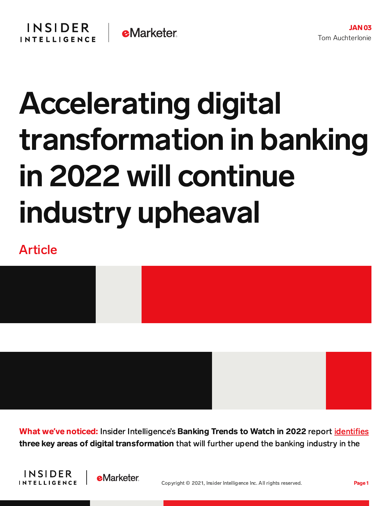## Accelerating digital transformation in banking in 2022 will continue industry upheaval

## Article



What we**'**ve noticed: Insider Intelligence's Banking Trends to Watch in 2022 report [identifies](https://content-na2.emarketer.com/insider-intelligence-banking-trends-watch-2022) three key areas of digital transformation that will further upend the banking industry in the



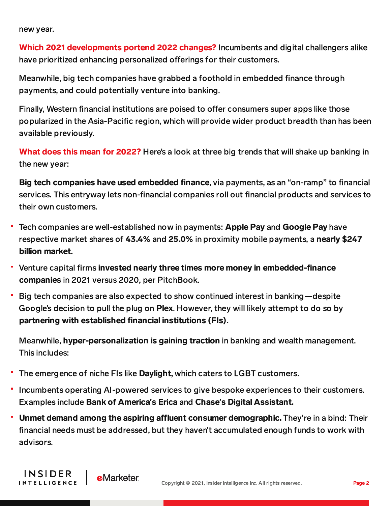new year.

INSIDER

**INTELLIGENCE** 

Which 2021 developments portend 2022 changes? Incumbents and digital challengers alike have prioritized enhancing personalized offerings for their customers.

Meanwhile, big tech companies have grabbed a foothold in embedded finance through payments, and could potentially venture into banking.

Finally, Western financial institutions are poised to offer consumers super apps like those popularized in the Asia-Pacific region, which will provide wider product breadth than has been available previously.

What does this mean for 2022? Here's a look at three big trends that will shake up banking in the new year:

Big tech companies have used embedded finance, via payments, as an "on-ramp" to financial services. This entryway lets non-financial companies roll out financial products and services to their own customers.

- Tech companies are well-established now in payments: Apple Pay and Google Pay have respective market shares of 43.4% and 25.0% in proximity mobile payments, a nearly \$247 billion market.
- Venture capital firms invested nearly three times more money in embedded-finance companies in 2021 versus 2020, per PitchBook.
- Big tech companies are also expected to show continued interest in banking—despite Google's decision to pull the plug on Plex. However, they will likely attempt to do so by partnering with established financial institutions (FIs).

Meanwhile, hyper-personalization is gaining traction in banking and wealth management. This includes:

The emergence of niche FIs like Daylight, which caters to LGBT customers.

**e**Marketer

- Incumbents operating AI-powered services to give bespoke experiences to their customers. Examples include Bank of America**'**s Erica and Chase**'**s Digital Assistant.
- Unmet demand among the aspiring affluent consumer demographic. They're in a bind: Their financial needs must be addressed, but they haven't accumulated enough funds to work with advisors.